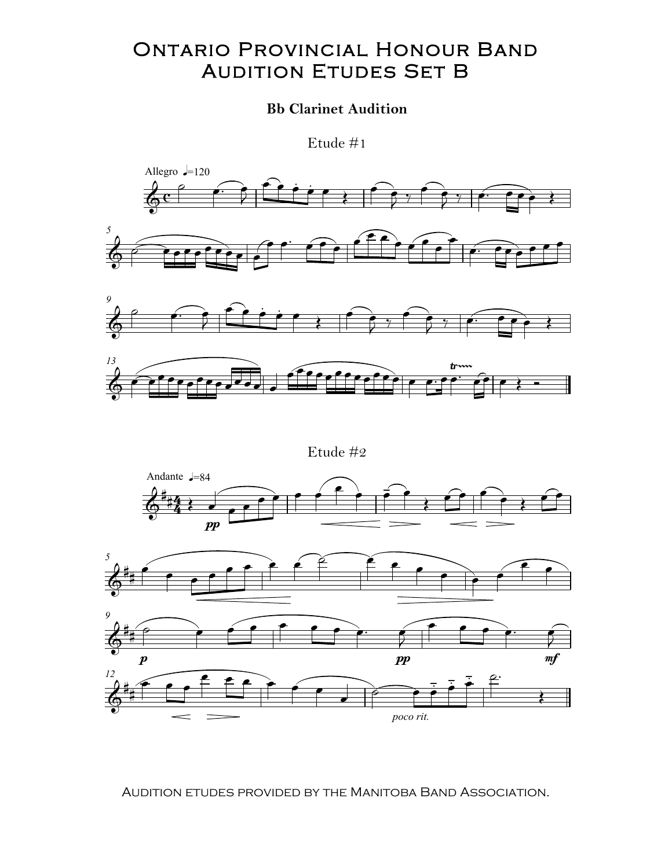## ONTARIO PROVINCIAL HONOUR BAND<br>AUDITION ETUDES SET B AUDITION ETUDES SET B .<br>אם:

## **Bb Clarinet Audition**

Etude #1







Audition etudes provided by the Manitoba Band Association.  $E(t) = \frac{1}{2}$ Allegro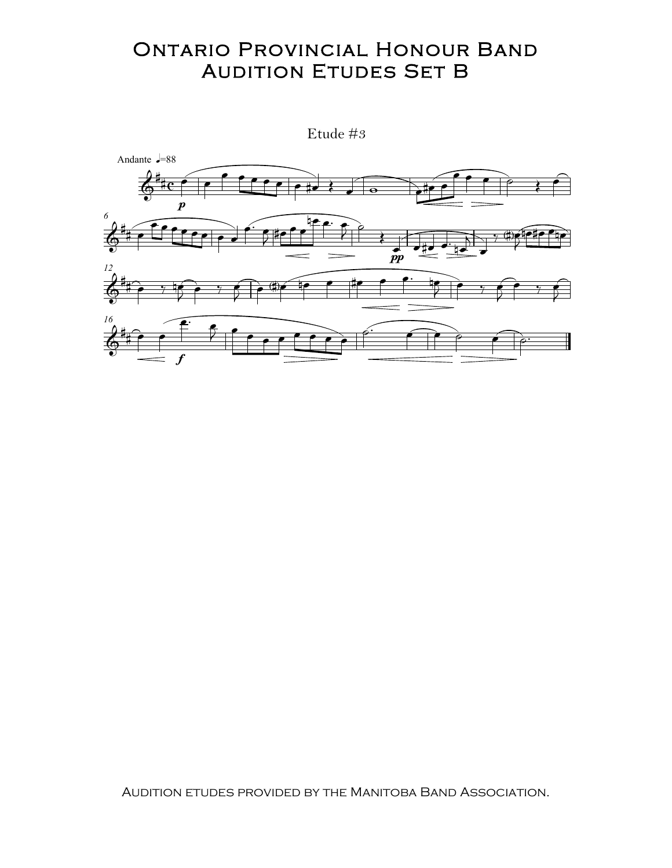## **ONTARIO PROVINCIAL HONOUR BAND AUDITION ETUDES SET B**



AUDITION ETUDES PROVIDED BY THE MANITOBA BAND ASSOCIATION.